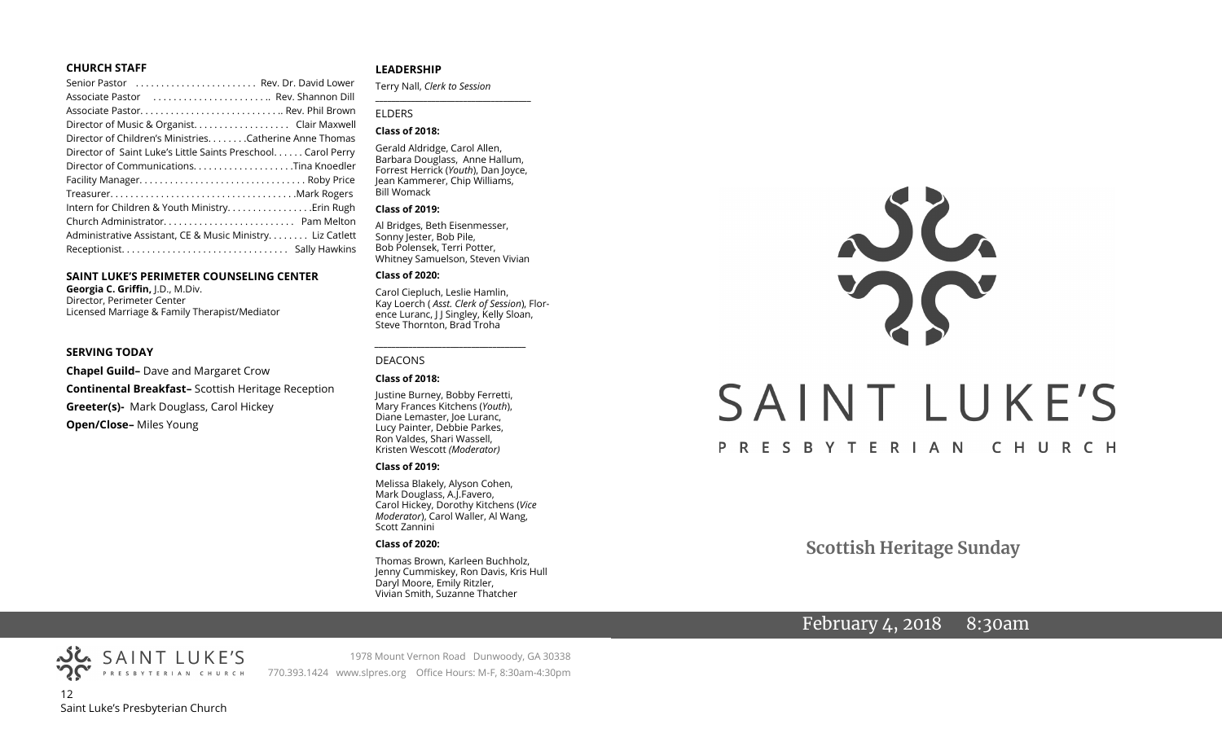#### **CHURCH STAFF**

| Senior Pastor  Rev. Dr. David Lower                          |  |
|--------------------------------------------------------------|--|
| Associate Pastor  Rev. Shannon Dill                          |  |
|                                                              |  |
| Director of Music & Organist. Clair Maxwell                  |  |
| Director of Children's Ministries. Catherine Anne Thomas     |  |
| Director of Saint Luke's Little Saints Preschool Carol Perry |  |
|                                                              |  |
|                                                              |  |
|                                                              |  |
| Intern for Children & Youth MinistryErin Rugh                |  |
|                                                              |  |
| Administrative Assistant, CE & Music Ministry Liz Catlett    |  |
|                                                              |  |

#### **SAINT LUKE'S PERIMETER COUNSELING CENTER**

**Georgia C. Griffin,** J.D., M.Div. Director, Perimeter Center Licensed Marriage & Family Therapist/Mediator

#### **SERVING TODAY**

**Chapel Guild–** Dave and Margaret Crow **Continental Breakfast–** Scottish Heritage Reception **Greeter(s)-** Mark Douglass, Carol Hickey **Open/Close–** Miles Young

#### **LEADERSHIP**

Terry Nall, *Clerk to Session* 

#### ELDERS

#### **Class of 2018:**

Gerald Aldridge, Carol Allen, Barbara Douglass, Anne Hallum, Forrest Herrick (*Youth*), Dan Joyce, Jean Kammerer, Chip Williams, Bill Womack

**\_\_\_\_\_\_\_\_\_\_\_\_\_\_\_\_\_\_\_\_\_\_\_\_\_\_\_\_\_\_\_\_\_\_\_\_\_\_\_**

#### **Class of 2019:**

Al Bridges, Beth Eisenmesser, Sonny Jester, Bob Pile, Bob Polensek, Terri Potter, Whitney Samuelson, Steven Vivian

#### **Class of 2020:**

Carol Ciepluch, Leslie Hamlin, Kay Loerch ( *Asst. Clerk of Session*), Florence Luranc, J J Singley, Kelly Sloan, Steve Thornton, Brad Troha

*\_\_\_\_\_\_\_\_\_\_\_\_\_\_\_\_\_\_\_\_\_\_\_\_\_\_\_\_\_\_\_\_\_\_\_\_*

#### DEACONS

#### **Class of 2018:**

Justine Burney, Bobby Ferretti, Mary Frances Kitchens (*Youth*), Diane Lemaster, Joe Luranc, Lucy Painter, Debbie Parkes, Ron Valdes, Shari Wassell, Kristen Wescott *(Moderator)*

#### **Class of 2019:**

Melissa Blakely, Alyson Cohen, Mark Douglass, A.J.Favero, Carol Hickey, Dorothy Kitchens (*Vice Moderator*), Carol Waller, Al Wang, Scott Zannini

#### **Class of 2020:**

Thomas Brown, Karleen Buchholz, Jenny Cummiskey, Ron Davis, Kris Hull Daryl Moore, Emily Ritzler, Vivian Smith, Suzanne Thatcher

# SAINT LUKE'S PRESBYTERIAN CHURCH

**Scottish Heritage Sunday**

## February 4, 2018 8:30am

PRESBYTERIAN CHURCH 12 Saint Luke's Presbyterian Church

SAINT LUKE'S

1978 Mount Vernon Road Dunwoody, GA 30338 770.393.1424 www.slpres.org Office Hours: M-F, 8:30am-4:30pm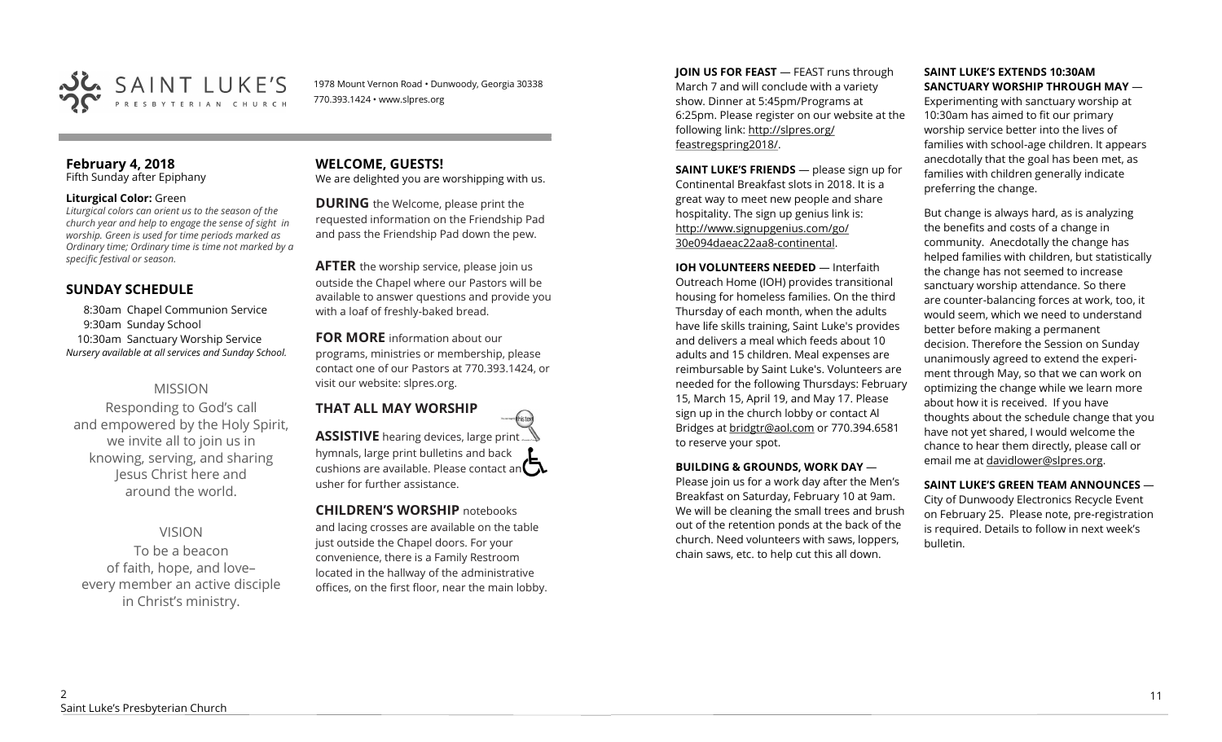

1978 Mount Vernon Road • Dunwoody, Georgia 30338 770.393.1424 • www.slpres.org

#### **February 4, 2018**  Fifth Sunday after Epiphany

#### **Liturgical Color:** Green

*Liturgical colors can orient us to the season of the church year and help to engage the sense of sight in worship. Green is used for time periods marked as Ordinary time; Ordinary time is time not marked by a specific festival or season.*

#### **SUNDAY SCHEDULE**

8:30am Chapel Communion Service 9:30am Sunday School 10:30am Sanctuary Worship Service *Nursery available at all services and Sunday School.* 

#### MISSION

Responding to God's call and empowered by the Holy Spirit, we invite all to join us in knowing, serving, and sharing Jesus Christ here and around the world.

#### VISION

To be a beacon of faith, hope, and love– every member an active disciple in Christ's ministry.

#### **WELCOME, GUESTS!**  We are delighted you are worshipping with us.

**DURING** the Welcome, please print the requested information on the Friendship Pad and pass the Friendship Pad down the pew.

**AFTER** the worship service, please join us outside the Chapel where our Pastors will be available to answer questions and provide you with a loaf of freshly-baked bread.

**FOR MORE** information about our programs, ministries or membership, please contact one of our Pastors at 770.393.1424, or visit our website: slpres.org.

# **THAT ALL MAY WORSHIP ASSISTIVE** hearing devices, large print...

hymnals, large print bulletins and back cushions are available. Please contact an  $\Box$ usher for further assistance.

thisted

#### **CHILDREN'S WORSHIP** notebooks

and lacing crosses are available on the table just outside the Chapel doors. For your convenience, there is a Family Restroom located in the hallway of the administrative offices, on the first floor, near the main lobby. **JOIN US FOR FEAST** — FEAST runs through March 7 and will conclude with a variety show. Dinner at 5:45pm/Programs at 6:25pm. Please register on our website at the following link: [http://slpres.org/](http://slpres.org/feastregspring2018/) [feastregspring2018/.](http://slpres.org/feastregspring2018/)

**SAINT LUKE'S FRIENDS** — please sign up for Continental Breakfast slots in 2018. It is a great way to meet new people and share hospitality. The sign up genius link is: <http://www.signupgenius.com/go/> 30e094daeac22aa8-continental.

**IOH VOLUNTEERS NEEDED** — Interfaith Outreach Home (IOH) provides transitional housing for homeless families. On the third Thursday of each month, when the adults have life skills training, Saint Luke's provides and delivers a meal which feeds about 10 adults and 15 children. Meal expenses are reimbursable by Saint Luke's. Volunteers are needed for the following Thursdays: February 15, March 15, April 19, and May 17. Please sign up in the church lobby or contact Al Bridges at [bridgtr@aol.com](mailto:bridgtr@aol.com) or 770.394.6581 to reserve your spot.

#### **BUILDING & GROUNDS, WORK DAY** —

Please join us for a work day after the Men's Breakfast on Saturday, February 10 at 9am. We will be cleaning the small trees and brush out of the retention ponds at the back of the church. Need volunteers with saws, loppers, chain saws, etc. to help cut this all down.

#### **SAINT LUKE'S EXTENDS 10:30AM SANCTUARY WORSHIP THROUGH MAY** —

Experimenting with sanctuary worship at 10:30am has aimed to fit our primary worship service better into the lives of families with school-age children. It appears anecdotally that the goal has been met, as families with children generally indicate preferring the change.

But change is always hard, as is analyzing the benefits and costs of a change in community. Anecdotally the change has helped families with children, but statistically the change has not seemed to increase sanctuary worship attendance. So there are counter-balancing forces at work, too, it would seem, which we need to understand better before making a permanent decision. Therefore the Session on Sunday unanimously agreed to extend the experiment through May, so that we can work on optimizing the change while we learn more about how it is received. If you have thoughts about the schedule change that you have not yet shared, I would welcome the chance to hear them directly, please call or email me at [davidlower@slpres.org.](mailto:davidlower@slpres.org)

#### **SAINT LUKE'S GREEN TEAM ANNOUNCES** —

City of Dunwoody Electronics Recycle Event on February 25. Please note, pre-registration is required. Details to follow in next week's bulletin.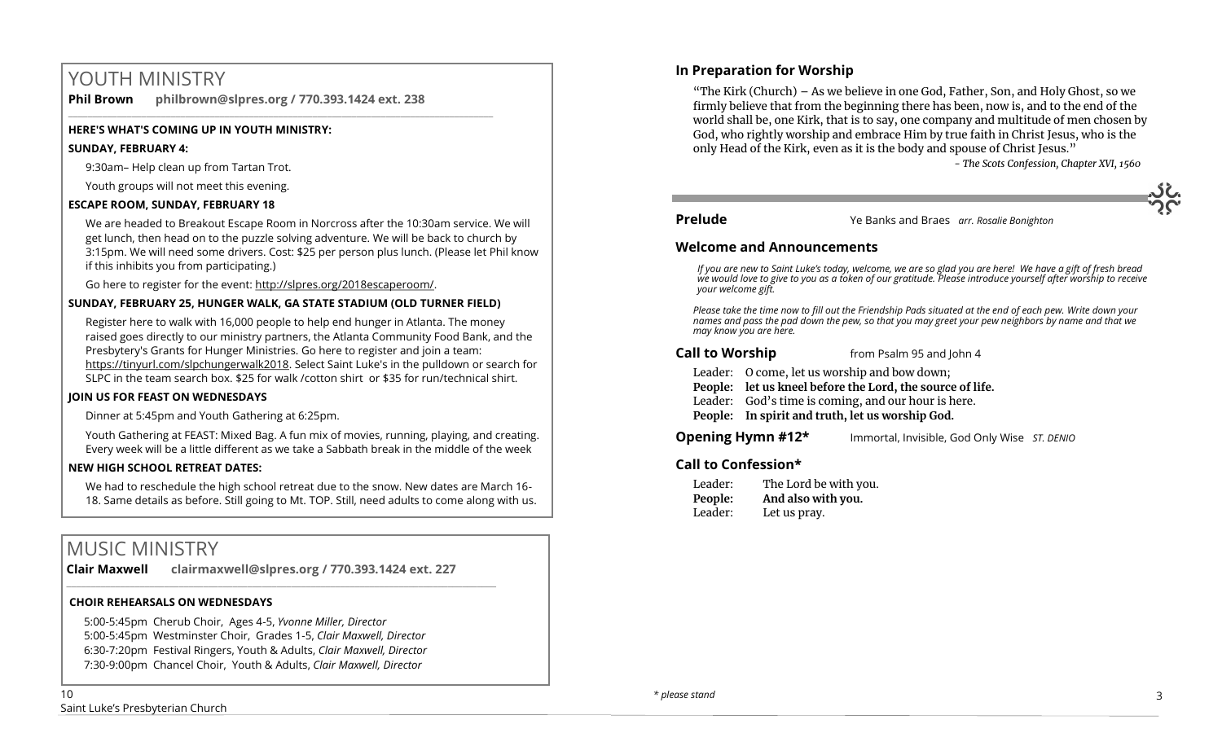# YOUTH MINISTRY

**Phil Brown philbrown@slpres.org / 770.393.1424 ext. 238** 

\_\_\_\_\_\_\_\_\_\_\_\_\_\_\_\_\_\_\_\_\_\_\_\_\_\_\_\_\_\_\_\_\_\_\_\_\_\_\_\_\_\_\_\_\_\_\_\_\_\_\_\_\_\_\_\_\_\_\_\_\_\_\_\_\_\_\_\_\_\_\_\_\_\_\_\_\_\_\_\_\_\_\_\_\_\_\_

#### **HERE'S WHAT'S COMING UP IN YOUTH MINISTRY:**

#### **SUNDAY, FEBRUARY 4:**

9:30am– Help clean up from Tartan Trot.

Youth groups will not meet this evening.

#### **ESCAPE ROOM, SUNDAY, FEBRUARY 18**

We are headed to Breakout Escape Room in Norcross after the 10:30am service. We will get lunch, then head on to the puzzle solving adventure. We will be back to church by 3:15pm. We will need some drivers. Cost: \$25 per person plus lunch. (Please let Phil know if this inhibits you from participating.)

Go here to register for the event: http://slpres.org/2018escaperoom/.

#### **SUNDAY, FEBRUARY 25, HUNGER WALK, GA STATE STADIUM (OLD TURNER FIELD)**

Register here to walk with 16,000 people to help end hunger in Atlanta. The money raised goes directly to our ministry partners, the Atlanta Community Food Bank, and the Presbytery's Grants for Hunger Ministries. Go here to register and join a team: https://tinyurl.com/slpchungerwalk2018. Select Saint Luke's in the pulldown or search for SLPC in the team search box. \$25 for walk /cotton shirt or \$35 for run/technical shirt.

#### **JOIN US FOR FEAST ON WEDNESDAYS**

Dinner at 5:45pm and Youth Gathering at 6:25pm.

Youth Gathering at FEAST: Mixed Bag. A fun mix of movies, running, playing, and creating. Every week will be a little different as we take a Sabbath break in the middle of the week

#### **NEW HIGH SCHOOL RETREAT DATES:**

We had to reschedule the high school retreat due to the snow. New dates are March 16- 18. Same details as before. Still going to Mt. TOP. Still, need adults to come along with us.

# MUSIC MINISTRY

**Clair Maxwell clairmaxwell@slpres.org / 770.393.1424 ext. 227** 

 $\_$  ,  $\_$  ,  $\_$  ,  $\_$  ,  $\_$  ,  $\_$  ,  $\_$  ,  $\_$  ,  $\_$  ,  $\_$  ,  $\_$  ,  $\_$  ,  $\_$  ,  $\_$  ,  $\_$  ,  $\_$  ,  $\_$  ,  $\_$  ,  $\_$ 

#### **CHOIR REHEARSALS ON WEDNESDAYS**

5:00-5:45pm Cherub Choir, Ages 4-5, *Yvonne Miller, Director*  5:00-5:45pm Westminster Choir, Grades 1-5, *Clair Maxwell, Director*  6:30-7:20pm Festival Ringers, Youth & Adults, *Clair Maxwell, Director*  7:30-9:00pm Chancel Choir, Youth & Adults, *Clair Maxwell, Director* 

"The Kirk (Church) – As we believe in one God, Father, Son, and Holy Ghost, so we firmly believe that from the beginning there has been, now is, and to the end of the world shall be, one Kirk, that is to say, one company and multitude of men chosen by God, who rightly worship and embrace Him by true faith in Christ Jesus, who is the only Head of the Kirk, even as it is the body and spouse of Christ Jesus."

*- The Scots Confession, Chapter XVI, 1560*

**Prelude** Ye Banks and Braes *arr. Rosalie Bonighton*

#### **Welcome and Announcements**

*If you are new to Saint Luke's today, welcome, we are so glad you are here! We have a gift of fresh bread we would love to give to you as a token of our gratitude. Please introduce yourself after worship to receive your welcome gift.*

*Please take the time now to fill out the Friendship Pads situated at the end of each pew. Write down your names and pass the pad down the pew, so that you may greet your pew neighbors by name and that we may know you are here.*

#### **Call to Worship** from Psalm 95 and John 4

Leader: O come, let us worship and bow down;

**People: let us kneel before the Lord, the source of life.**

- Leader: God's time is coming, and our hour is here.
- **People: In spirit and truth, let us worship God.**

**Opening Hymn #12\*** Immortal, Invisible, God Only Wise *ST. DENIO*

#### **Call to Confession\***

| Leader: | The Lord be with you. |
|---------|-----------------------|
| People: | And also with you.    |
| Leader: | Let us pray.          |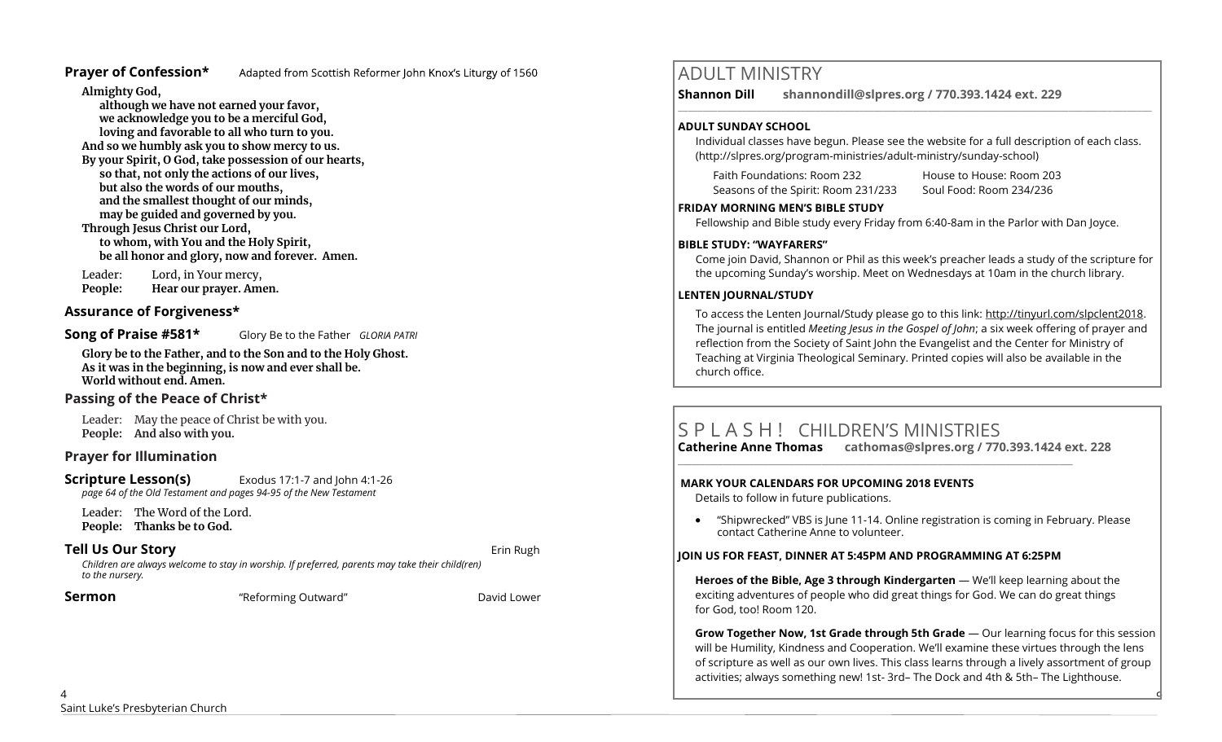#### **Prayer of Confession\***

Adapted from Scottish Reformer John Knox's Liturgy of 1560

**Almighty God,** 

**although we have not earned your favor, we acknowledge you to be a merciful God, loving and favorable to all who turn to you. And so we humbly ask you to show mercy to us. By your Spirit, O God, take possession of our hearts, so that, not only the actions of our lives, but also the words of our mouths, and the smallest thought of our minds, may be guided and governed by you. Through Jesus Christ our Lord, to whom, with You and the Holy Spirit, be all honor and glory, now and forever. Amen.**

Leader: Lord, in Your mercy, **People: Hear our prayer. Amen.**

#### **Assurance of Forgiveness\***

**Song of Praise #581\*** Glory Be to the Father *GLORIA PATRI*

**Glory be to the Father, and to the Son and to the Holy Ghost. As it was in the beginning, is now and ever shall be. World without end. Amen.** 

## **Passing of the Peace of Christ\***

Leader: May the peace of Christ be with you. **People: And also with you.** 

#### **Prayer for Illumination**

**Scripture Lesson(s)** Exodus 17:1-7 and John 4:1-26 *page 64 of the Old Testament and pages 94-95 of the New Testament*

Leader: The Word of the Lord. **People: Thanks be to God.**

#### **Tell Us Our Story Example 20 and 20 and 20 and 20 and 20 and 20 and 20 and 20 and 20 and 20 and 20 and 20 and 20 and 20 and 20 and 20 and 20 and 20 and 20 and 20 and 20 and 20 and 20 and 20 and 20 and 20 and 20 and 20 a**

*Children are always welcome to stay in worship. If preferred, parents may take their child(ren) to the nursery.*

**Sermon Example 2 "** "Reforming Outward" **Propose 2** David Lower

# ADULT MINISTRY

**Shannon Dill shannondill@slpres.org / 770.393.1424 ext. 229**   $\_$  ,  $\_$  ,  $\_$  ,  $\_$  ,  $\_$  ,  $\_$  ,  $\_$  ,  $\_$  ,  $\_$  ,  $\_$  ,  $\_$  ,  $\_$  ,  $\_$  ,  $\_$  ,  $\_$  ,  $\_$  ,  $\_$  ,  $\_$  ,  $\_$ 

#### **ADULT SUNDAY SCHOOL**

Individual classes have begun. Please see the website for a full description of each class. (http://slpres.org/program-ministries/adult-ministry/sunday-school)

Faith Foundations: Room 232 House to House: Room 203 Seasons of the Spirit: Room 231/233 Soul Food: Room 234/236

#### **FRIDAY MORNING MEN'S BIBLE STUDY**

Fellowship and Bible study every Friday from 6:40-8am in the Parlor with Dan Joyce.

#### **BIBLE STUDY: "WAYFARERS"**

Come join David, Shannon or Phil as this week's preacher leads a study of the scripture for the upcoming Sunday's worship. Meet on Wednesdays at 10am in the church library.

#### **LENTEN JOURNAL/STUDY**

To access the Lenten Journal/Study please go to this link: http://tinyurl.com/slpclent2018. The journal is entitled *Meeting Jesus in the Gospel of John*; a six week offering of prayer and reflection from the Society of Saint John the Evangelist and the Center for Ministry of Teaching at Virginia Theological Seminary. Printed copies will also be available in the church office.

# S P L A S H ! CHILDREN'S MINISTRIES

**Catherine Anne Thomas cathomas@slpres.org / 770.393.1424 ext. 228 \_\_\_\_\_\_\_\_\_\_\_\_\_\_\_\_\_\_\_\_\_\_\_\_\_\_\_\_\_\_\_\_\_\_\_\_\_\_\_\_\_\_\_\_\_\_\_\_\_\_\_\_\_\_\_\_\_\_\_\_\_\_\_\_\_\_\_\_\_\_\_\_\_\_\_\_\_\_\_\_\_\_\_\_\_\_\_\_** 

#### **MARK YOUR CALENDARS FOR UPCOMING 2018 EVENTS**

Details to follow in future publications.

• "Shipwrecked" VBS is June 11-14. Online registration is coming in February. Please contact Catherine Anne to volunteer.

#### **JOIN US FOR FEAST, DINNER AT 5:45PM AND PROGRAMMING AT 6:25PM**

**Heroes of the Bible, Age 3 through Kindergarten** — We'll keep learning about the exciting adventures of people who did great things for God. We can do great things for God, too! Room 120.

**Grow Together Now, 1st Grade through 5th Grade** — Our learning focus for this session will be Humility, Kindness and Cooperation. We'll examine these virtues through the lens of scripture as well as our own lives. This class learns through a lively assortment of group activities; always something new! 1st- 3rd– The Dock and 4th & 5th– The Lighthouse.

9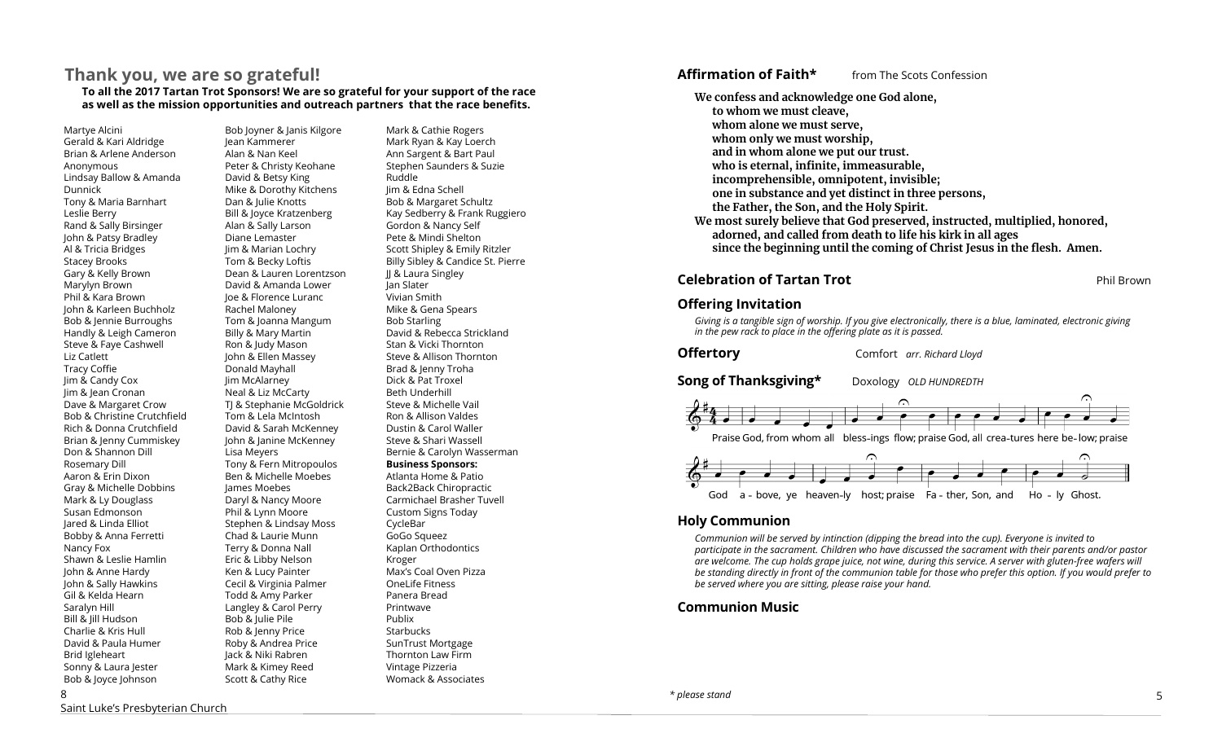# **Thank you, we are so grateful!**

**To all the 2017 Tartan Trot Sponsors! We are so grateful for your support of the race as well as the mission opportunities and outreach partners that the race benefits.**

Martye Alcini Gerald & Kari Aldridge Brian & Arlene Anderson Anonymous Lindsay Ballow & Amanda Dunnick Tony & Maria Barnhart Leslie Berry Rand & Sally Birsinger John & Patsy Bradley Al & Tricia Bridges Stacey Brooks Gary & Kelly Brown Marylyn Brown Phil & Kara Brown John & Karleen Buchholz Bob & Jennie Burroughs Handly & Leigh Cameron Steve & Faye Cashwell Liz Catlett Tracy Coffie Jim & Candy Cox Jim & Jean Cronan Dave & Margaret Crow Bob & Christine Crutchfield Rich & Donna Crutchfield Brian & Jenny Cummiskey Don & Shannon Dill Rosemary Dill Aaron & Erin Dixon Gray & Michelle Dobbins Mark & Ly Douglass Susan Edmonson Jared & Linda Elliot Bobby & Anna Ferretti Nancy Fox Shawn & Leslie Hamlin John & Anne Hardy John & Sally Hawkins Gil & Kelda Hearn Saralyn Hill Bill & Jill Hudson Charlie & Kris Hull David & Paula Humer Brid Igleheart Sonny & Laura Jester Bob & Joyce Johnson

8

Bob Joyner & Janis Kilgore Jean Kammerer Alan & Nan Keel Peter & Christy Keohane David & Betsy King Mike & Dorothy Kitchens Dan & Julie Knotts Bill & Joyce Kratzenberg Alan & Sally Larson Diane Lemaster Jim & Marian Lochry Tom & Becky Loftis Dean & Lauren Lorentzson David & Amanda Lower Joe & Florence Luranc Rachel Maloney Tom & Joanna Mangum Billy & Mary Martin Ron & Judy Mason John & Ellen Massey Donald Mayhall Jim McAlarney Neal & Liz McCarty TJ & Stephanie McGoldrick Tom & Lela McIntosh David & Sarah McKenney John & Janine McKenney Lisa Meyers Tony & Fern Mitropoulos Ben & Michelle Moebes James Moebes Daryl & Nancy Moore Phil & Lynn Moore Stephen & Lindsay Moss Chad & Laurie Munn Terry & Donna Nall Eric & Libby Nelson Ken & Lucy Painter Cecil & Virginia Palmer Todd & Amy Parker Langley & Carol Perry Bob & Julie Pile Rob & Jenny Price Roby & Andrea Price Jack & Niki Rabren Mark & Kimey Reed Scott & Cathy Rice

Mark & Cathie Rogers Mark Ryan & Kay Loerch Ann Sargent & Bart Paul Stephen Saunders & Suzie Ruddle Jim & Edna Schell Bob & Margaret Schultz Kay Sedberry & Frank Ruggiero Gordon & Nancy Self Pete & Mindi Shelton Scott Shipley & Emily Ritzler Billy Sibley & Candice St. Pierre JJ & Laura Singley Jan Slater Vivian Smith Mike & Gena Spears Bob Starling David & Rebecca Strickland Stan & Vicki Thornton Steve & Allison Thornton Brad & Jenny Troha Dick & Pat Troxel Beth Underhill Steve & Michelle Vail Ron & Allison Valdes Dustin & Carol Waller Steve & Shari Wassell Bernie & Carolyn Wasserman **Business Sponsors:** Atlanta Home & Patio Back2Back Chiropractic Carmichael Brasher Tuvell Custom Signs Today CycleBar GoGo Squeez Kaplan Orthodontics Kroger Max's Coal Oven Pizza OneLife Fitness Panera Bread Printwave Publix **Starbucks** SunTrust Mortgage Thornton Law Firm Vintage Pizzeria Womack & Associates

#### **Affirmation of Faith\*** from The Scots Confession

**We confess and acknowledge one God alone, to whom we must cleave, whom alone we must serve, whom only we must worship, and in whom alone we put our trust. who is eternal, infinite, immeasurable, incomprehensible, omnipotent, invisible; one in substance and yet distinct in three persons, the Father, the Son, and the Holy Spirit. We most surely believe that God preserved, instructed, multiplied, honored, adorned, and called from death to life his kirk in all ages since the beginning until the coming of Christ Jesus in the flesh. Amen.**

#### **Celebration of Tartan Trot Phil Brown**

#### **Offering Invitation**

*Giving is a tangible sign of worship. If you give electronically, there is a blue, laminated, electronic giving in the pew rack to place in the offering plate as it is passed.*

**Offertory** Comfort *arr. Richard Lloyd* 

**Song of Thanksgiving\*** Doxology *OLD HUNDREDTH* 



#### **Holy Communion**

*Communion will be served by intinction (dipping the bread into the cup). Everyone is invited to participate in the sacrament. Children who have discussed the sacrament with their parents and/or pastor are welcome. The cup holds grape juice, not wine, during this service. A server with gluten-free wafers will be standing directly in front of the communion table for those who prefer this option. If you would prefer to be served where you are sitting, please raise your hand.* 

**Communion Music**